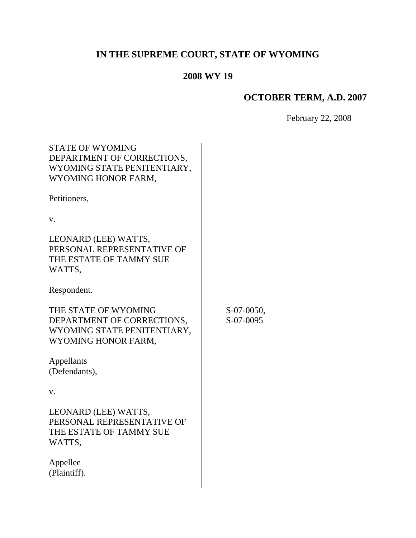# **IN THE SUPREME COURT, STATE OF WYOMING**

# **2008 WY 19**

# **OCTOBER TERM, A.D. 2007**

February 22, 2008

| <b>STATE OF WYOMING</b><br>DEPARTMENT OF CORRECTIONS,<br>WYOMING STATE PENITENTIARY,<br>WYOMING HONOR FARM, |                         |
|-------------------------------------------------------------------------------------------------------------|-------------------------|
| Petitioners,                                                                                                |                         |
| V.                                                                                                          |                         |
| LEONARD (LEE) WATTS,<br>PERSONAL REPRESENTATIVE OF<br>THE ESTATE OF TAMMY SUE<br>WATTS,                     |                         |
| Respondent.                                                                                                 |                         |
| THE STATE OF WYOMING<br>DEPARTMENT OF CORRECTIONS,<br>WYOMING STATE PENITENTIARY,<br>WYOMING HONOR FARM,    | S-07-0050,<br>S-07-0095 |
| Appellants<br>(Defendants),                                                                                 |                         |
| V.                                                                                                          |                         |
| LEONARD (LEE) WATTS,<br>PERSONAL REPRESENTATIVE OF<br>THE ESTATE OF TAMMY SUE<br>WATTS,                     |                         |
| Appellee<br>(Plaintiff).                                                                                    |                         |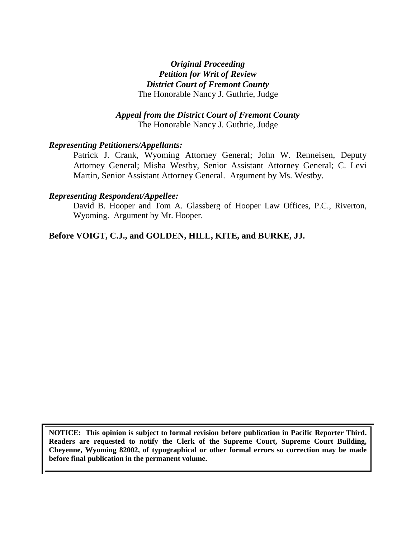### *Original Proceeding Petition for Writ of Review District Court of Fremont County* The Honorable Nancy J. Guthrie, Judge

#### *Appeal from the District Court of Fremont County* The Honorable Nancy J. Guthrie, Judge

#### *Representing Petitioners/Appellants:*

Patrick J. Crank, Wyoming Attorney General; John W. Renneisen, Deputy Attorney General; Misha Westby, Senior Assistant Attorney General; C. Levi Martin, Senior Assistant Attorney General. Argument by Ms. Westby.

#### *Representing Respondent/Appellee:*

David B. Hooper and Tom A. Glassberg of Hooper Law Offices, P.C., Riverton, Wyoming. Argument by Mr. Hooper.

#### **Before VOIGT, C.J., and GOLDEN, HILL, KITE, and BURKE, JJ.**

**NOTICE: This opinion is subject to formal revision before publication in Pacific Reporter Third. Readers are requested to notify the Clerk of the Supreme Court, Supreme Court Building, Cheyenne, Wyoming 82002, of typographical or other formal errors so correction may be made before final publication in the permanent volume.**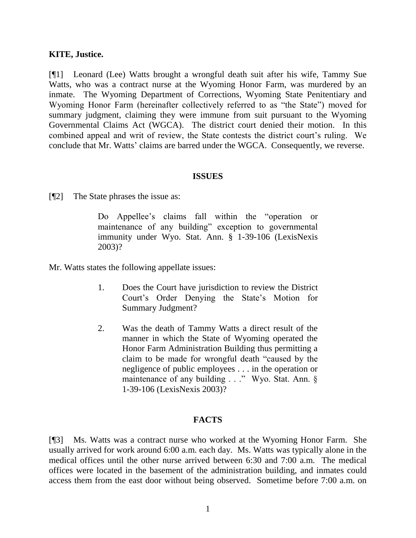#### **KITE, Justice.**

[¶1] Leonard (Lee) Watts brought a wrongful death suit after his wife, Tammy Sue Watts, who was a contract nurse at the Wyoming Honor Farm, was murdered by an inmate. The Wyoming Department of Corrections, Wyoming State Penitentiary and Wyoming Honor Farm (hereinafter collectively referred to as "the State") moved for summary judgment, claiming they were immune from suit pursuant to the Wyoming Governmental Claims Act (WGCA). The district court denied their motion. In this combined appeal and writ of review, the State contests the district court's ruling. We conclude that Mr. Watts' claims are barred under the WGCA. Consequently, we reverse.

#### **ISSUES**

[¶2] The State phrases the issue as:

Do Appellee's claims fall within the "operation or maintenance of any building" exception to governmental immunity under Wyo. Stat. Ann. § 1-39-106 (LexisNexis 2003)?

Mr. Watts states the following appellate issues:

- 1. Does the Court have jurisdiction to review the District Court"s Order Denying the State"s Motion for Summary Judgment?
- 2. Was the death of Tammy Watts a direct result of the manner in which the State of Wyoming operated the Honor Farm Administration Building thus permitting a claim to be made for wrongful death "caused by the negligence of public employees . . . in the operation or maintenance of any building . . ." Wyo. Stat. Ann. § 1-39-106 (LexisNexis 2003)?

#### **FACTS**

[¶3] Ms. Watts was a contract nurse who worked at the Wyoming Honor Farm. She usually arrived for work around 6:00 a.m. each day. Ms. Watts was typically alone in the medical offices until the other nurse arrived between 6:30 and 7:00 a.m. The medical offices were located in the basement of the administration building, and inmates could access them from the east door without being observed. Sometime before 7:00 a.m. on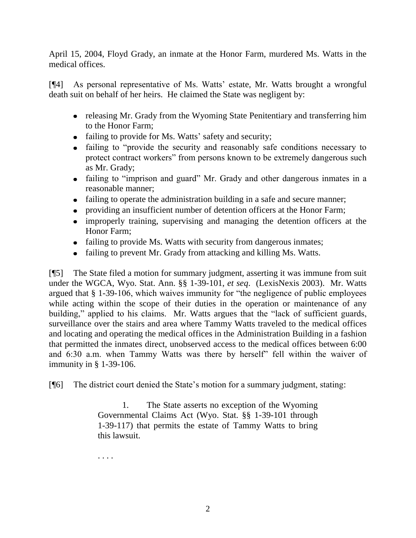April 15, 2004, Floyd Grady, an inmate at the Honor Farm, murdered Ms. Watts in the medical offices.

[¶4] As personal representative of Ms. Watts" estate, Mr. Watts brought a wrongful death suit on behalf of her heirs. He claimed the State was negligent by:

- releasing Mr. Grady from the Wyoming State Penitentiary and transferring him to the Honor Farm;
- failing to provide for Ms. Watts' safety and security;
- failing to "provide the security and reasonably safe conditions necessary to protect contract workers" from persons known to be extremely dangerous such as Mr. Grady;
- failing to "imprison and guard" Mr. Grady and other dangerous inmates in a reasonable manner;
- failing to operate the administration building in a safe and secure manner;
- providing an insufficient number of detention officers at the Honor Farm;
- improperly training, supervising and managing the detention officers at the Honor Farm;
- failing to provide Ms. Watts with security from dangerous inmates;
- failing to prevent Mr. Grady from attacking and killing Ms. Watts.

[¶5] The State filed a motion for summary judgment, asserting it was immune from suit under the WGCA, Wyo. Stat. Ann. §§ 1-39-101, *et seq*. (LexisNexis 2003). Mr. Watts argued that § 1-39-106, which waives immunity for "the negligence of public employees while acting within the scope of their duties in the operation or maintenance of any building," applied to his claims. Mr. Watts argues that the "lack of sufficient guards, surveillance over the stairs and area where Tammy Watts traveled to the medical offices and locating and operating the medical offices in the Administration Building in a fashion that permitted the inmates direct, unobserved access to the medical offices between 6:00 and 6:30 a.m. when Tammy Watts was there by herself" fell within the waiver of immunity in § 1-39-106.

[¶6] The district court denied the State"s motion for a summary judgment, stating:

1. The State asserts no exception of the Wyoming Governmental Claims Act (Wyo. Stat. §§ 1-39-101 through 1-39-117) that permits the estate of Tammy Watts to bring this lawsuit.

. . . .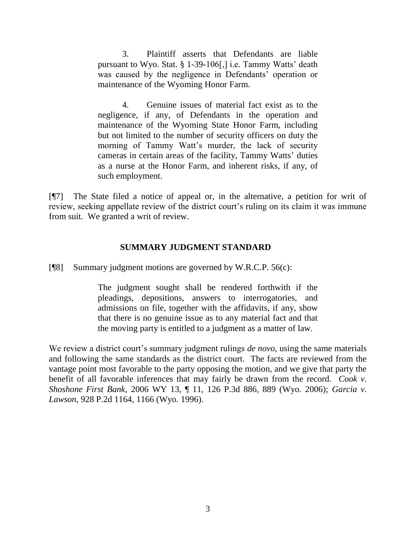3. Plaintiff asserts that Defendants are liable pursuant to Wyo. Stat. § 1-39-106[,] i.e. Tammy Watts' death was caused by the negligence in Defendants' operation or maintenance of the Wyoming Honor Farm.

4. Genuine issues of material fact exist as to the negligence, if any, of Defendants in the operation and maintenance of the Wyoming State Honor Farm, including but not limited to the number of security officers on duty the morning of Tammy Watt's murder, the lack of security cameras in certain areas of the facility, Tammy Watts' duties as a nurse at the Honor Farm, and inherent risks, if any, of such employment.

[¶7] The State filed a notice of appeal or, in the alternative, a petition for writ of review, seeking appellate review of the district court's ruling on its claim it was immune from suit. We granted a writ of review.

## **SUMMARY JUDGMENT STANDARD**

[¶8] Summary judgment motions are governed by W.R.C.P. 56(c):

The judgment sought shall be rendered forthwith if the pleadings, depositions, answers to interrogatories, and admissions on file, together with the affidavits, if any, show that there is no genuine issue as to any material fact and that the moving party is entitled to a judgment as a matter of law.

We review a district court's summary judgment rulings *de novo*, using the same materials and following the same standards as the district court. The facts are reviewed from the vantage point most favorable to the party opposing the motion, and we give that party the benefit of all favorable inferences that may fairly be drawn from the record. *Cook v. Shoshone First Bank,* 2006 WY 13, ¶ 11, 126 P.3d 886, 889 (Wyo. 2006); *Garcia v. Lawson,* 928 P.2d 1164, 1166 (Wyo. 1996).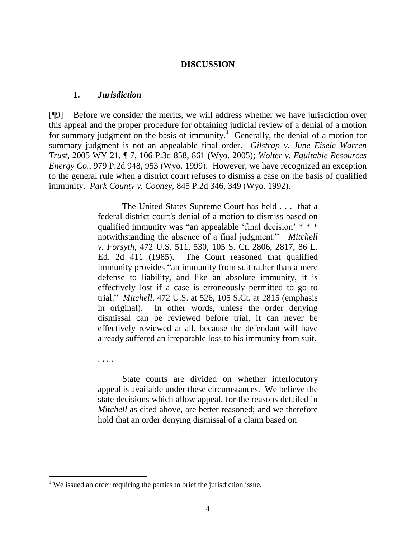#### **DISCUSSION**

#### **1.** *Jurisdiction*

[¶9] Before we consider the merits, we will address whether we have jurisdiction over this appeal and the proper procedure for obtaining judicial review of a denial of a motion for summary judgment on the basis of immunity.<sup>1</sup> Generally, the denial of a motion for summary judgment is not an appealable final order. *Gilstrap v. June Eisele Warren Trust,* 2005 WY 21, ¶ 7, 106 P.3d 858, 861 (Wyo. 2005); *Wolter v. Equitable Resources Energy Co.*, 979 P.2d 948, 953 (Wyo. 1999). However, we have recognized an exception to the general rule when a district court refuses to dismiss a case on the basis of qualified immunity. *Park County v. Cooney,* 845 P.2d 346, 349 (Wyo. 1992).

> The United States Supreme Court has held . . . that a federal district court's denial of a motion to dismiss based on qualified immunity was "an appealable 'final decision' \* \* \* notwithstanding the absence of a final judgment." *Mitchell v. Forsyth*, 472 U.S. 511, 530, 105 S. Ct. 2806, 2817, 86 L. Ed. 2d 411 (1985). The Court reasoned that qualified immunity provides "an immunity from suit rather than a mere defense to liability, and like an absolute immunity, it is effectively lost if a case is erroneously permitted to go to trial." *Mitchell*, 472 U.S. at 526, 105 S.Ct. at 2815 (emphasis in original). In other words, unless the order denying dismissal can be reviewed before trial, it can never be effectively reviewed at all, because the defendant will have already suffered an irreparable loss to his immunity from suit.

. . . .

State courts are divided on whether interlocutory appeal is available under these circumstances. We believe the state decisions which allow appeal, for the reasons detailed in *Mitchell* as cited above, are better reasoned; and we therefore hold that an order denying dismissal of a claim based on

 $<sup>1</sup>$  We issued an order requiring the parties to brief the jurisdiction issue.</sup>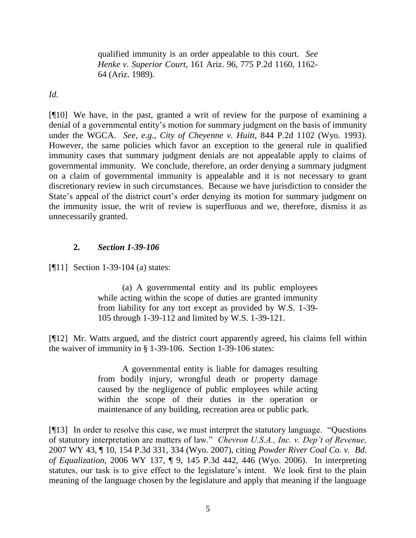qualified immunity is an order appealable to this court. *See Henke v. Superior Court*, 161 Ariz. 96, 775 P.2d 1160, 1162- 64 (Ariz. 1989).

*Id.* 

[¶10] We have, in the past, granted a writ of review for the purpose of examining a denial of a governmental entity's motion for summary judgment on the basis of immunity under the WGCA. *See, e.g., City of Cheyenne v. Huitt,* 844 P.2d 1102 (Wyo. 1993). However, the same policies which favor an exception to the general rule in qualified immunity cases that summary judgment denials are not appealable apply to claims of governmental immunity. We conclude, therefore, an order denying a summary judgment on a claim of governmental immunity is appealable and it is not necessary to grant discretionary review in such circumstances. Because we have jurisdiction to consider the State's appeal of the district court's order denying its motion for summary judgment on the immunity issue, the writ of review is superfluous and we, therefore, dismiss it as unnecessarily granted.

# **2.** *Section 1-39-106*

[¶11] Section 1-39-104 (a) states:

(a) A governmental entity and its public employees while acting within the scope of duties are granted immunity from liability for any tort except as provided by W.S. 1-39- 105 through 1-39-112 and limited by W.S. 1-39-121.

[¶12] Mr. Watts argued, and the district court apparently agreed, his claims fell within the waiver of immunity in § 1-39-106. Section 1-39-106 states:

> A governmental entity is liable for damages resulting from bodily injury, wrongful death or property damage caused by the negligence of public employees while acting within the scope of their duties in the operation or maintenance of any building, recreation area or public park.

[¶13] In order to resolve this case, we must interpret the statutory language. "Questions of statutory interpretation are matters of law." *Chevron U.S.A., Inc. v. Dep't of Revenue,*  2007 WY 43, ¶ 10, 154 P.3d 331, 334 (Wyo. 2007), citing *Powder River Coal Co. v. Bd. of Equalization*, 2006 WY 137, ¶ 9, 145 P.3d 442, 446 (Wyo. 2006). In interpreting statutes, our task is to give effect to the legislature's intent. We look first to the plain meaning of the language chosen by the legislature and apply that meaning if the language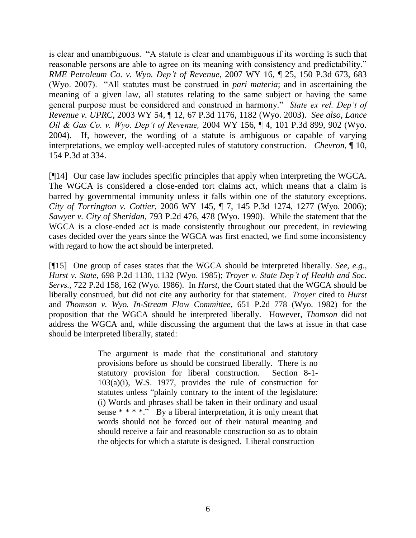is clear and unambiguous. "A statute is clear and unambiguous if its wording is such that reasonable persons are able to agree on its meaning with consistency and predictability." *RME Petroleum Co. v. Wyo. Dep't of Revenue*, 2007 WY 16, ¶ 25, 150 P.3d 673, 683 (Wyo. 2007). "All statutes must be construed in *pari materia*; and in ascertaining the meaning of a given law, all statutes relating to the same subject or having the same general purpose must be considered and construed in harmony." *State ex rel. Dep't of Revenue v. UPRC,* 2003 WY 54, ¶ 12, 67 P.3d 1176, 1182 (Wyo. 2003). *See also*, *Lance Oil & Gas Co. v. Wyo. Dep't of Revenue,* 2004 WY 156, ¶ 4, 101 P.3d 899, 902 (Wyo. 2004). If, however, the wording of a statute is ambiguous or capable of varying interpretations, we employ well-accepted rules of statutory construction. *Chevron,* ¶ 10, 154 P.3d at 334.

[¶14] Our case law includes specific principles that apply when interpreting the WGCA. The WGCA is considered a close-ended tort claims act, which means that a claim is barred by governmental immunity unless it falls within one of the statutory exceptions. *City of Torrington v. Cottier,* 2006 WY 145, ¶ 7, 145 P.3d 1274, 1277 (Wyo. 2006); *Sawyer v. City of Sheridan,* 793 P.2d 476, 478 (Wyo. 1990). While the statement that the WGCA is a close-ended act is made consistently throughout our precedent, in reviewing cases decided over the years since the WGCA was first enacted, we find some inconsistency with regard to how the act should be interpreted.

[¶15] One group of cases states that the WGCA should be interpreted liberally. *See, e.g*., *Hurst v. State,* 698 P.2d 1130, 1132 (Wyo. 1985); *Troyer v. State Dep't of Health and Soc. Servs.,* 722 P.2d 158, 162 (Wyo. 1986). In *Hurst,* the Court stated that the WGCA should be liberally construed, but did not cite any authority for that statement. *Troyer* cited to *Hurst*  and *Thomson v. Wyo. In-Stream Flow Committee,* 651 P.2d 778 (Wyo. 1982) for the proposition that the WGCA should be interpreted liberally. However, *Thomson* did not address the WGCA and, while discussing the argument that the laws at issue in that case should be interpreted liberally, stated:

> The argument is made that the constitutional and statutory provisions before us should be construed liberally. There is no statutory provision for liberal construction. Section 8-1- 103(a)(i), W.S. 1977, provides the rule of construction for statutes unless "plainly contrary to the intent of the legislature: (i) Words and phrases shall be taken in their ordinary and usual sense  $***$   $\cdot$  By a liberal interpretation, it is only meant that words should not be forced out of their natural meaning and should receive a fair and reasonable construction so as to obtain the objects for which a statute is designed. Liberal construction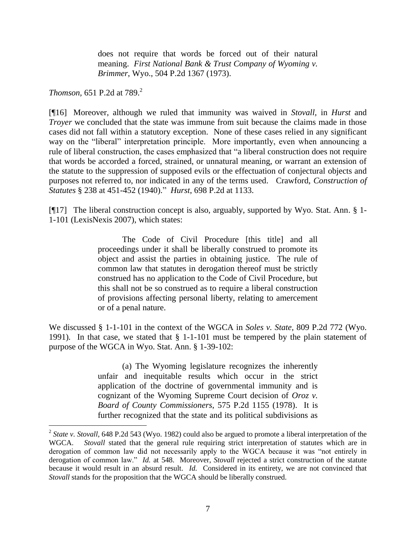does not require that words be forced out of their natural meaning. *First National Bank & Trust Company of Wyoming v. Brimmer*, Wyo., 504 P.2d 1367 (1973).

*Thomson,* 651 P.2d at 789.<sup>2</sup>

[¶16] Moreover, although we ruled that immunity was waived in *Stovall,* in *Hurst* and *Troyer* we concluded that the state was immune from suit because the claims made in those cases did not fall within a statutory exception. None of these cases relied in any significant way on the "liberal" interpretation principle. More importantly, even when announcing a rule of liberal construction, the cases emphasized that "a liberal construction does not require that words be accorded a forced, strained, or unnatural meaning, or warrant an extension of the statute to the suppression of supposed evils or the effectuation of conjectural objects and purposes not referred to, nor indicated in any of the terms used. Crawford, *Construction of Statutes* § 238 at 451-452 (1940)." *Hurst*, 698 P.2d at 1133.

[¶17] The liberal construction concept is also, arguably, supported by Wyo. Stat. Ann. § 1- 1-101 (LexisNexis 2007), which states:

> The Code of Civil Procedure [this title] and all proceedings under it shall be liberally construed to promote its object and assist the parties in obtaining justice. The rule of common law that statutes in derogation thereof must be strictly construed has no application to the Code of Civil Procedure, but this shall not be so construed as to require a liberal construction of provisions affecting personal liberty, relating to amercement or of a penal nature.

We discussed § 1-1-101 in the context of the WGCA in *Soles v. State,* 809 P.2d 772 (Wyo. 1991)*.* In that case, we stated that § 1-1-101 must be tempered by the plain statement of purpose of the WGCA in Wyo. Stat. Ann. § 1-39-102:

> (a) The Wyoming legislature recognizes the inherently unfair and inequitable results which occur in the strict application of the doctrine of governmental immunity and is cognizant of the Wyoming Supreme Court decision of *Oroz v. Board of County Commissioners*, 575 P.2d 1155 (1978). It is further recognized that the state and its political subdivisions as

<sup>&</sup>lt;sup>2</sup> State v. Stovall, 648 P.2d 543 (Wyo. 1982) could also be argued to promote a liberal interpretation of the WGCA. *Stovall* stated that the general rule requiring strict interpretation of statutes which are in derogation of common law did not necessarily apply to the WGCA because it was "not entirely in derogation of common law." *Id.* at 548. Moreover, *Stovall* rejected a strict construction of the statute because it would result in an absurd result. *Id.* Considered in its entirety, we are not convinced that *Stovall* stands for the proposition that the WGCA should be liberally construed.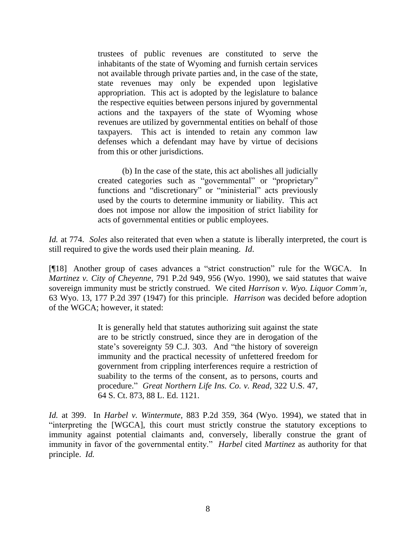trustees of public revenues are constituted to serve the inhabitants of the state of Wyoming and furnish certain services not available through private parties and, in the case of the state, state revenues may only be expended upon legislative appropriation. This act is adopted by the legislature to balance the respective equities between persons injured by governmental actions and the taxpayers of the state of Wyoming whose revenues are utilized by governmental entities on behalf of those taxpayers. This act is intended to retain any common law defenses which a defendant may have by virtue of decisions from this or other jurisdictions.

(b) In the case of the state, this act abolishes all judicially created categories such as "governmental" or "proprietary" functions and "discretionary" or "ministerial" acts previously used by the courts to determine immunity or liability. This act does not impose nor allow the imposition of strict liability for acts of governmental entities or public employees.

*Id.* at 774. *Soles* also reiterated that even when a statute is liberally interpreted, the court is still required to give the words used their plain meaning. *Id*.

[¶18] Another group of cases advances a "strict construction" rule for the WGCA. In *Martinez v. City of Cheyenne,* 791 P.2d 949, 956 (Wyo. 1990), we said statutes that waive sovereign immunity must be strictly construed. We cited *Harrison v. Wyo. Liquor Comm'n,*  63 Wyo. 13, 177 P.2d 397 (1947) for this principle. *Harrison* was decided before adoption of the WGCA; however, it stated:

> It is generally held that statutes authorizing suit against the state are to be strictly construed, since they are in derogation of the state's sovereignty 59 C.J. 303. And "the history of sovereign immunity and the practical necessity of unfettered freedom for government from crippling interferences require a restriction of suability to the terms of the consent, as to persons, courts and procedure." *Great Northern Life Ins. Co. v. Read*, 322 U.S. 47, 64 S. Ct. 873, 88 L. Ed. 1121.

*Id.* at 399. In *Harbel v. Wintermute,* 883 P.2d 359, 364 (Wyo. 1994), we stated that in "interpreting the [WGCA], this court must strictly construe the statutory exceptions to immunity against potential claimants and, conversely, liberally construe the grant of immunity in favor of the governmental entity." *Harbel* cited *Martinez* as authority for that principle. *Id.*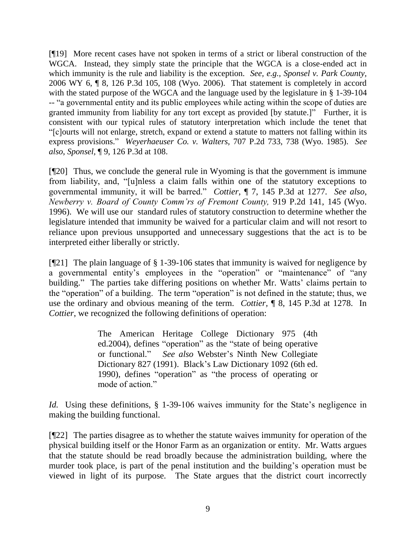[¶19] More recent cases have not spoken in terms of a strict or liberal construction of the WGCA. Instead, they simply state the principle that the WGCA is a close-ended act in which immunity is the rule and liability is the exception. *See, e.g., Sponsel v. Park County,*  2006 WY 6, ¶ 8, 126 P.3d 105, 108 (Wyo. 2006). That statement is completely in accord with the stated purpose of the WGCA and the language used by the legislature in § 1-39-104 -- "a governmental entity and its public employees while acting within the scope of duties are granted immunity from liability for any tort except as provided [by statute.]" Further, it is consistent with our typical rules of statutory interpretation which include the tenet that "[c]ourts will not enlarge, stretch, expand or extend a statute to matters not falling within its express provisions." *Weyerhaeuser Co. v. Walters,* 707 P.2d 733, 738 (Wyo. 1985). *See also*, *Sponsel,* ¶ 9, 126 P.3d at 108.

[¶20] Thus, we conclude the general rule in Wyoming is that the government is immune from liability, and, "[u]nless a claim falls within one of the statutory exceptions to governmental immunity, it will be barred." *Cottier,* ¶ 7, 145 P.3d at 1277*. See also*, *Newberry v. Board of County Comm'rs of Fremont County,* 919 P.2d 141, 145 (Wyo. 1996). We will use our standard rules of statutory construction to determine whether the legislature intended that immunity be waived for a particular claim and will not resort to reliance upon previous unsupported and unnecessary suggestions that the act is to be interpreted either liberally or strictly.

[¶21] The plain language of § 1-39-106 states that immunity is waived for negligence by a governmental entity's employees in the "operation" or "maintenance" of "any building." The parties take differing positions on whether Mr. Watts' claims pertain to the "operation" of a building. The term "operation" is not defined in the statute; thus, we use the ordinary and obvious meaning of the term. *Cottier,* ¶ 8, 145 P.3d at 1278. In *Cottier*, we recognized the following definitions of operation:

> The American Heritage College Dictionary 975 (4th ed.2004), defines "operation" as the "state of being operative or functional." *See also* Webster's Ninth New Collegiate Dictionary 827 (1991). Black"s Law Dictionary 1092 (6th ed. 1990), defines "operation" as "the process of operating or mode of action."

*Id.* Using these definitions, § 1-39-106 waives immunity for the State's negligence in making the building functional.

[¶22] The parties disagree as to whether the statute waives immunity for operation of the physical building itself or the Honor Farm as an organization or entity. Mr. Watts argues that the statute should be read broadly because the administration building, where the murder took place, is part of the penal institution and the building's operation must be viewed in light of its purpose. The State argues that the district court incorrectly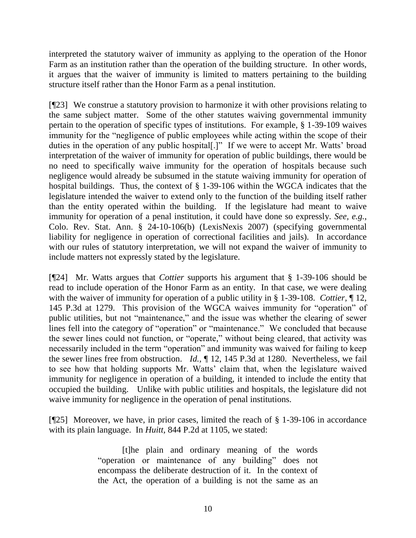interpreted the statutory waiver of immunity as applying to the operation of the Honor Farm as an institution rather than the operation of the building structure. In other words, it argues that the waiver of immunity is limited to matters pertaining to the building structure itself rather than the Honor Farm as a penal institution.

[¶23] We construe a statutory provision to harmonize it with other provisions relating to the same subject matter. Some of the other statutes waiving governmental immunity pertain to the operation of specific types of institutions. For example, § 1-39-109 waives immunity for the "negligence of public employees while acting within the scope of their duties in the operation of any public hospital[.]" If we were to accept Mr. Watts' broad interpretation of the waiver of immunity for operation of public buildings, there would be no need to specifically waive immunity for the operation of hospitals because such negligence would already be subsumed in the statute waiving immunity for operation of hospital buildings. Thus, the context of § 1-39-106 within the WGCA indicates that the legislature intended the waiver to extend only to the function of the building itself rather than the entity operated within the building. If the legislature had meant to waive immunity for operation of a penal institution, it could have done so expressly. *See, e.g.*, Colo. Rev. Stat. Ann. § 24-10-106(b) (LexisNexis 2007) (specifying governmental liability for negligence in operation of correctional facilities and jails). In accordance with our rules of statutory interpretation, we will not expand the waiver of immunity to include matters not expressly stated by the legislature.

[¶24] Mr. Watts argues that *Cottier* supports his argument that § 1-39-106 should be read to include operation of the Honor Farm as an entity. In that case, we were dealing with the waiver of immunity for operation of a public utility in § 1-39-108. *Cottier,* ¶ 12, 145 P.3d at 1279. This provision of the WGCA waives immunity for "operation" of public utilities, but not "maintenance," and the issue was whether the clearing of sewer lines fell into the category of "operation" or "maintenance." We concluded that because the sewer lines could not function, or "operate," without being cleared, that activity was necessarily included in the term "operation" and immunity was waived for failing to keep the sewer lines free from obstruction. *Id.,* ¶ 12, 145 P.3d at 1280. Nevertheless, we fail to see how that holding supports Mr. Watts' claim that, when the legislature waived immunity for negligence in operation of a building, it intended to include the entity that occupied the building. Unlike with public utilities and hospitals, the legislature did not waive immunity for negligence in the operation of penal institutions.

[ $[$ 25] Moreover, we have, in prior cases, limited the reach of  $\S$  1-39-106 in accordance with its plain language. In *Huitt,* 844 P.2d at 1105, we stated:

> [t]he plain and ordinary meaning of the words "operation or maintenance of any building" does not encompass the deliberate destruction of it. In the context of the Act, the operation of a building is not the same as an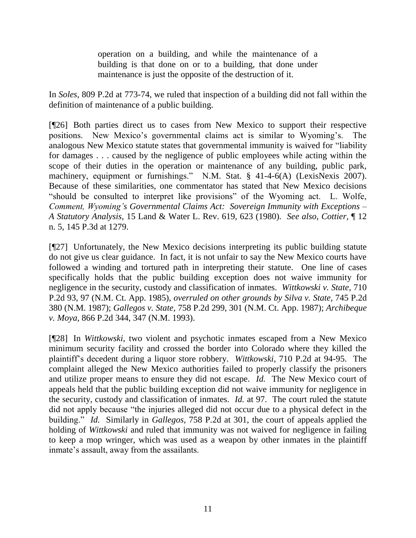operation on a building, and while the maintenance of a building is that done on or to a building, that done under maintenance is just the opposite of the destruction of it.

In *Soles,* 809 P.2d at 773-74, we ruled that inspection of a building did not fall within the definition of maintenance of a public building.

[¶26] Both parties direct us to cases from New Mexico to support their respective positions. New Mexico"s governmental claims act is similar to Wyoming"s. The analogous New Mexico statute states that governmental immunity is waived for "liability for damages . . . caused by the negligence of public employees while acting within the scope of their duties in the operation or maintenance of any building, public park, machinery, equipment or furnishings." N.M. Stat. § 41-4-6(A) (LexisNexis 2007). Because of these similarities, one commentator has stated that New Mexico decisions "should be consulted to interpret like provisions" of the Wyoming act. L. Wolfe, *Comment, Wyoming's Governmental Claims Act: Sovereign Immunity with Exceptions – A Statutory Analysis*, 15 Land & Water L. Rev. 619, 623 (1980). *See also*, *Cottier,* ¶ 12 n. 5, 145 P.3d at 1279.

[¶27] Unfortunately, the New Mexico decisions interpreting its public building statute do not give us clear guidance. In fact, it is not unfair to say the New Mexico courts have followed a winding and tortured path in interpreting their statute. One line of cases specifically holds that the public building exception does not waive immunity for negligence in the security, custody and classification of inmates. *Wittkowski v. State,* 710 P.2d 93, 97 (N.M. Ct. App. 1985), *overruled on other grounds by Silva v. State,* 745 P.2d 380 (N.M. 1987); *Gallegos v. State,* 758 P.2d 299, 301 (N.M. Ct. App. 1987); *Archibeque v. Moya,* 866 P.2d 344, 347 (N.M. 1993).

[¶28] In *Wittkowski*, two violent and psychotic inmates escaped from a New Mexico minimum security facility and crossed the border into Colorado where they killed the plaintiff"s decedent during a liquor store robbery. *Wittkowski,* 710 P.2d at 94-95. The complaint alleged the New Mexico authorities failed to properly classify the prisoners and utilize proper means to ensure they did not escape. *Id.* The New Mexico court of appeals held that the public building exception did not waive immunity for negligence in the security, custody and classification of inmates. *Id.* at 97. The court ruled the statute did not apply because "the injuries alleged did not occur due to a physical defect in the building." *Id.* Similarly in *Gallegos,* 758 P.2d at 301, the court of appeals applied the holding of *Wittkowski* and ruled that immunity was not waived for negligence in failing to keep a mop wringer, which was used as a weapon by other inmates in the plaintiff inmate's assault, away from the assailants.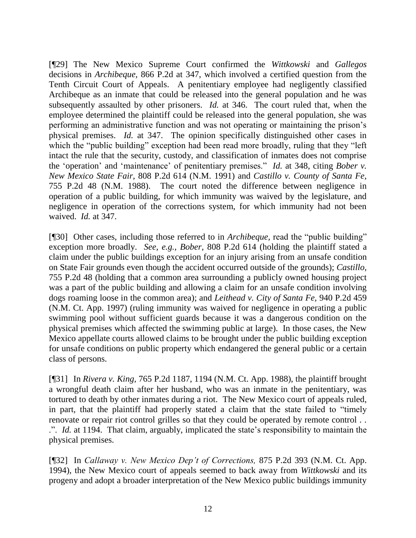[¶29] The New Mexico Supreme Court confirmed the *Wittkowski* and *Gallegos*  decisions in *Archibeque,* 866 P.2d at 347, which involved a certified question from the Tenth Circuit Court of Appeals. A penitentiary employee had negligently classified Archibeque as an inmate that could be released into the general population and he was subsequently assaulted by other prisoners. *Id.* at 346. The court ruled that, when the employee determined the plaintiff could be released into the general population, she was performing an administrative function and was not operating or maintaining the prison"s physical premises. *Id.* at 347. The opinion specifically distinguished other cases in which the "public building" exception had been read more broadly, ruling that they "left" intact the rule that the security, custody, and classification of inmates does not comprise the "operation" and "maintenance" of penitentiary premises." *Id.* at 348, citing *Bober v. New Mexico State Fair,* 808 P.2d 614 (N.M. 1991) and *Castillo v. County of Santa Fe,*  755 P.2d 48 (N.M. 1988). The court noted the difference between negligence in operation of a public building, for which immunity was waived by the legislature, and negligence in operation of the corrections system, for which immunity had not been waived. *Id.* at 347.

[¶30] Other cases, including those referred to in *Archibeque,* read the "public building" exception more broadly. *See, e.g., Bober,* 808 P.2d 614 (holding the plaintiff stated a claim under the public buildings exception for an injury arising from an unsafe condition on State Fair grounds even though the accident occurred outside of the grounds); *Castillo,*  755 P.2d 48 (holding that a common area surrounding a publicly owned housing project was a part of the public building and allowing a claim for an unsafe condition involving dogs roaming loose in the common area); and *Leithead v. City of Santa Fe,* 940 P.2d 459 (N.M. Ct. App. 1997) (ruling immunity was waived for negligence in operating a public swimming pool without sufficient guards because it was a dangerous condition on the physical premises which affected the swimming public at large). In those cases, the New Mexico appellate courts allowed claims to be brought under the public building exception for unsafe conditions on public property which endangered the general public or a certain class of persons.

[¶31] In *Rivera v. King,* 765 P.2d 1187, 1194 (N.M. Ct. App. 1988), the plaintiff brought a wrongful death claim after her husband, who was an inmate in the penitentiary, was tortured to death by other inmates during a riot. The New Mexico court of appeals ruled, in part, that the plaintiff had properly stated a claim that the state failed to "timely renovate or repair riot control grilles so that they could be operated by remote control . . .". *Id.* at 1194. That claim, arguably, implicated the state"s responsibility to maintain the physical premises.

[¶32] In *Callaway v. New Mexico Dep't of Corrections,* 875 P.2d 393 (N.M. Ct. App. 1994), the New Mexico court of appeals seemed to back away from *Wittkowski* and its progeny and adopt a broader interpretation of the New Mexico public buildings immunity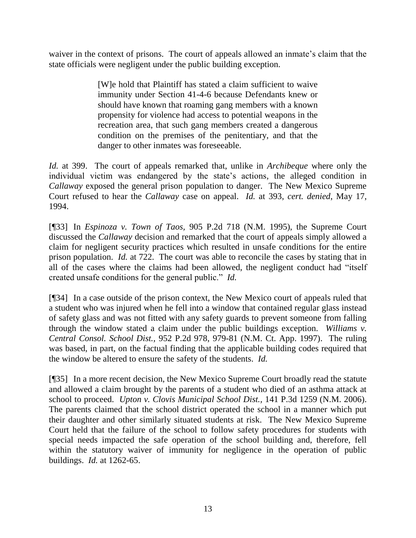waiver in the context of prisons. The court of appeals allowed an inmate's claim that the state officials were negligent under the public building exception.

> [W]e hold that Plaintiff has stated a claim sufficient to waive immunity under Section 41-4-6 because Defendants knew or should have known that roaming gang members with a known propensity for violence had access to potential weapons in the recreation area, that such gang members created a dangerous condition on the premises of the penitentiary, and that the danger to other inmates was foreseeable.

*Id.* at 399. The court of appeals remarked that, unlike in *Archibeque* where only the individual victim was endangered by the state"s actions*,* the alleged condition in *Callaway* exposed the general prison population to danger. The New Mexico Supreme Court refused to hear the *Callaway* case on appeal. *Id.* at 393, *cert. denied*, May 17, 1994.

[¶33] In *Espinoza v. Town of Taos,* 905 P.2d 718 (N.M. 1995), the Supreme Court discussed the *Callaway* decision and remarked that the court of appeals simply allowed a claim for negligent security practices which resulted in unsafe conditions for the entire prison population. *Id.* at 722. The court was able to reconcile the cases by stating that in all of the cases where the claims had been allowed, the negligent conduct had "itself created unsafe conditions for the general public." *Id.*

[¶34] In a case outside of the prison context, the New Mexico court of appeals ruled that a student who was injured when he fell into a window that contained regular glass instead of safety glass and was not fitted with any safety guards to prevent someone from falling through the window stated a claim under the public buildings exception. *Williams v. Central Consol. School Dist.,* 952 P.2d 978, 979-81 (N.M. Ct. App. 1997). The ruling was based, in part, on the factual finding that the applicable building codes required that the window be altered to ensure the safety of the students. *Id.* 

[¶35] In a more recent decision, the New Mexico Supreme Court broadly read the statute and allowed a claim brought by the parents of a student who died of an asthma attack at school to proceed. *Upton v. Clovis Municipal School Dist.,* 141 P.3d 1259 (N.M. 2006). The parents claimed that the school district operated the school in a manner which put their daughter and other similarly situated students at risk. The New Mexico Supreme Court held that the failure of the school to follow safety procedures for students with special needs impacted the safe operation of the school building and, therefore, fell within the statutory waiver of immunity for negligence in the operation of public buildings. *Id.* at 1262-65.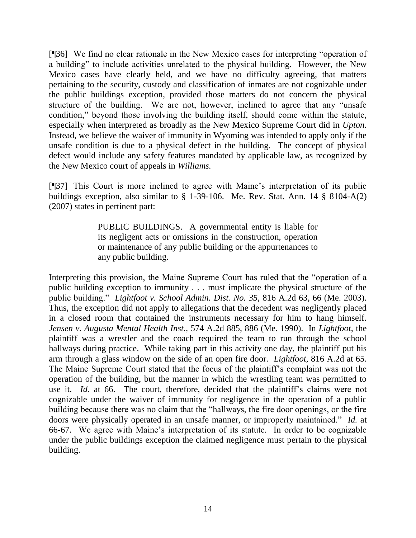[¶36] We find no clear rationale in the New Mexico cases for interpreting "operation of a building" to include activities unrelated to the physical building. However, the New Mexico cases have clearly held, and we have no difficulty agreeing, that matters pertaining to the security, custody and classification of inmates are not cognizable under the public buildings exception, provided those matters do not concern the physical structure of the building. We are not, however, inclined to agree that any "unsafe condition," beyond those involving the building itself, should come within the statute, especially when interpreted as broadly as the New Mexico Supreme Court did in *Upton.*  Instead, we believe the waiver of immunity in Wyoming was intended to apply only if the unsafe condition is due to a physical defect in the building. The concept of physical defect would include any safety features mandated by applicable law, as recognized by the New Mexico court of appeals in *Williams.* 

[¶37] This Court is more inclined to agree with Maine"s interpretation of its public buildings exception, also similar to § 1-39-106. Me. Rev. Stat. Ann. 14 § 8104-A(2) (2007) states in pertinent part:

> PUBLIC BUILDINGS. A governmental entity is liable for its negligent acts or omissions in the construction, operation or maintenance of any public building or the appurtenances to any public building.

Interpreting this provision, the Maine Supreme Court has ruled that the "operation of a public building exception to immunity . . . must implicate the physical structure of the public building." *Lightfoot v. School Admin. Dist. No. 35,* 816 A.2d 63, 66 (Me. 2003). Thus, the exception did not apply to allegations that the decedent was negligently placed in a closed room that contained the instruments necessary for him to hang himself. *Jensen v. Augusta Mental Health Inst.,* 574 A.2d 885, 886 (Me. 1990). In *Lightfoot*, the plaintiff was a wrestler and the coach required the team to run through the school hallways during practice. While taking part in this activity one day, the plaintiff put his arm through a glass window on the side of an open fire door. *Lightfoot,* 816 A.2d at 65. The Maine Supreme Court stated that the focus of the plaintiff"s complaint was not the operation of the building, but the manner in which the wrestling team was permitted to use it. *Id.* at 66. The court, therefore, decided that the plaintiff's claims were not cognizable under the waiver of immunity for negligence in the operation of a public building because there was no claim that the "hallways, the fire door openings, or the fire doors were physically operated in an unsafe manner, or improperly maintained." *Id.* at 66-67. We agree with Maine"s interpretation of its statute. In order to be cognizable under the public buildings exception the claimed negligence must pertain to the physical building.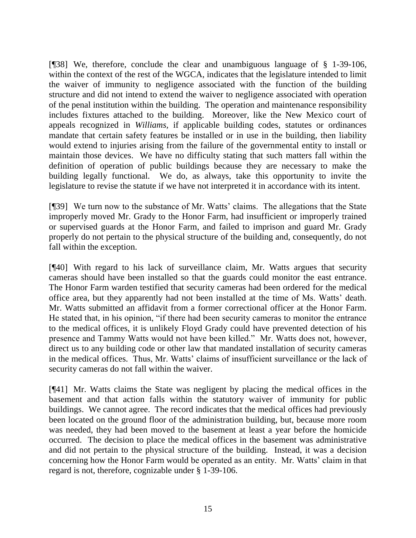[¶38] We, therefore, conclude the clear and unambiguous language of § 1-39-106, within the context of the rest of the WGCA, indicates that the legislature intended to limit the waiver of immunity to negligence associated with the function of the building structure and did not intend to extend the waiver to negligence associated with operation of the penal institution within the building. The operation and maintenance responsibility includes fixtures attached to the building. Moreover, like the New Mexico court of appeals recognized in *Williams,* if applicable building codes, statutes or ordinances mandate that certain safety features be installed or in use in the building, then liability would extend to injuries arising from the failure of the governmental entity to install or maintain those devices. We have no difficulty stating that such matters fall within the definition of operation of public buildings because they are necessary to make the building legally functional. We do, as always, take this opportunity to invite the legislature to revise the statute if we have not interpreted it in accordance with its intent.

[¶39] We turn now to the substance of Mr. Watts" claims. The allegations that the State improperly moved Mr. Grady to the Honor Farm, had insufficient or improperly trained or supervised guards at the Honor Farm, and failed to imprison and guard Mr. Grady properly do not pertain to the physical structure of the building and, consequently, do not fall within the exception.

[¶40] With regard to his lack of surveillance claim, Mr. Watts argues that security cameras should have been installed so that the guards could monitor the east entrance. The Honor Farm warden testified that security cameras had been ordered for the medical office area, but they apparently had not been installed at the time of Ms. Watts" death. Mr. Watts submitted an affidavit from a former correctional officer at the Honor Farm. He stated that, in his opinion, "if there had been security cameras to monitor the entrance to the medical offices, it is unlikely Floyd Grady could have prevented detection of his presence and Tammy Watts would not have been killed." Mr. Watts does not, however, direct us to any building code or other law that mandated installation of security cameras in the medical offices. Thus, Mr. Watts' claims of insufficient surveillance or the lack of security cameras do not fall within the waiver.

[¶41] Mr. Watts claims the State was negligent by placing the medical offices in the basement and that action falls within the statutory waiver of immunity for public buildings. We cannot agree. The record indicates that the medical offices had previously been located on the ground floor of the administration building, but, because more room was needed, they had been moved to the basement at least a year before the homicide occurred. The decision to place the medical offices in the basement was administrative and did not pertain to the physical structure of the building. Instead, it was a decision concerning how the Honor Farm would be operated as an entity. Mr. Watts' claim in that regard is not, therefore, cognizable under § 1-39-106.